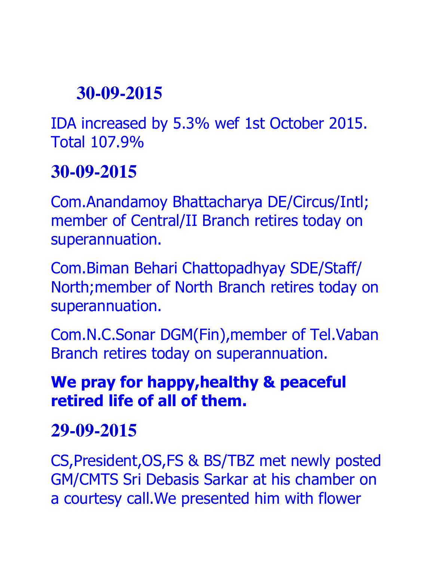IDA increased by 5.3% wef 1st October 2015. Total 107.9%

#### **30-09-2015**

Com.Anandamoy Bhattacharya DE/Circus/Intl; member of Central/II Branch retires today on superannuation.

Com.Biman Behari Chattopadhyay SDE/Staff/ North;member of North Branch retires today on superannuation.

Com.N.C.Sonar DGM(Fin),member of Tel.Vaban Branch retires today on superannuation.

#### **We pray for happy,healthy & peaceful retired life of all of them.**

#### **29-09-2015**

CS,President,OS,FS & BS/TBZ met newly posted GM/CMTS Sri Debasis Sarkar at his chamber on a courtesy call.We presented him with flower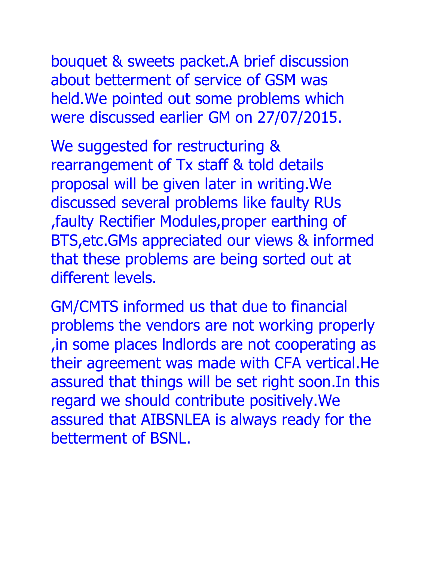bouquet & sweets packet.A brief discussion about betterment of service of GSM was held.We pointed out some problems which were discussed earlier GM on 27/07/2015.

We suggested for restructuring & rearrangement of Tx staff & told details proposal will be given later in writing.We discussed several problems like faulty RUs ,faulty Rectifier Modules,proper earthing of BTS,etc.GMs appreciated our views & informed that these problems are being sorted out at different levels.

GM/CMTS informed us that due to financial problems the vendors are not working properly ,in some places lndlords are not cooperating as their agreement was made with CFA vertical.He assured that things will be set right soon.In this regard we should contribute positively.We assured that AIBSNLEA is always ready for the betterment of BSNL.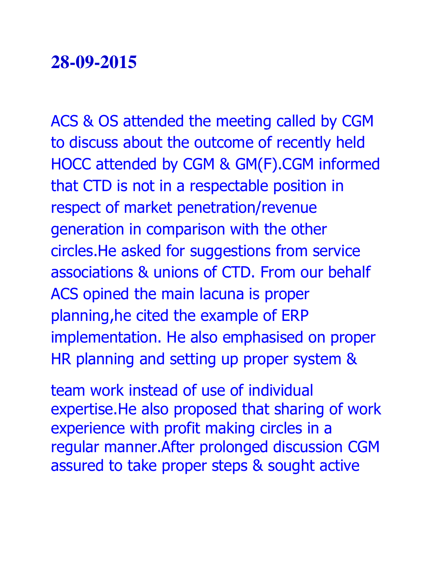ACS & OS attended the meeting called by CGM to discuss about the outcome of recently held HOCC attended by CGM & GM(F).CGM informed that CTD is not in a respectable position in respect of market penetration/revenue generation in comparison with the other circles.He asked for suggestions from service associations & unions of CTD. From our behalf ACS opined the main lacuna is proper planning,he cited the example of ERP implementation. He also emphasised on proper HR planning and setting up proper system &

team work instead of use of individual expertise.He also proposed that sharing of work experience with profit making circles in a regular manner.After prolonged discussion CGM assured to take proper steps & sought active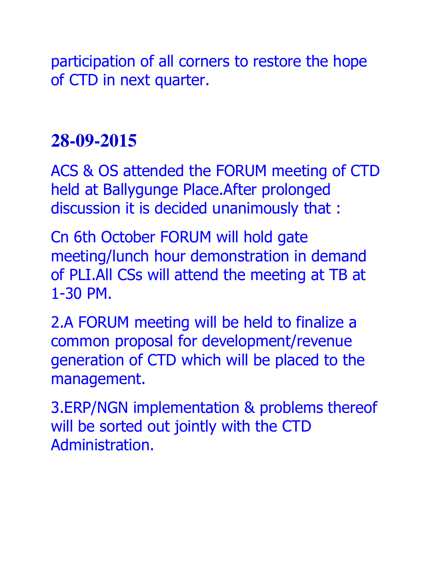participation of all corners to restore the hope of CTD in next quarter.

#### **28-09-2015**

ACS & OS attended the FORUM meeting of CTD held at Ballygunge Place.After prolonged discussion it is decided unanimously that :

Cn 6th October FORUM will hold gate meeting/lunch hour demonstration in demand of PLI.All CSs will attend the meeting at TB at 1-30 PM.

2.A FORUM meeting will be held to finalize a common proposal for development/revenue generation of CTD which will be placed to the management.

3.ERP/NGN implementation & problems thereof will be sorted out jointly with the CTD Administration.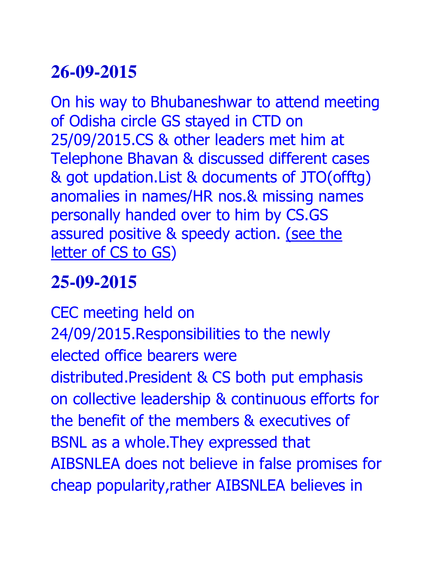On his way to Bhubaneshwar to attend meeting of Odisha circle GS stayed in CTD on 25/09/2015.CS & other leaders met him at Telephone Bhavan & discussed different cases & got updation.List & documents of JTO(offtg) anomalies in names/HR nos.& missing names personally handed over to him by CS.GS assured positive & speedy action. (see the letter of CS to GS)

# **25-09-2015**

CEC meeting held on 24/09/2015.Responsibilities to the newly elected office bearers were distributed.President & CS both put emphasis on collective leadership & continuous efforts for the benefit of the members & executives of BSNL as a whole.They expressed that AIBSNLEA does not believe in false promises for cheap popularity,rather AIBSNLEA believes in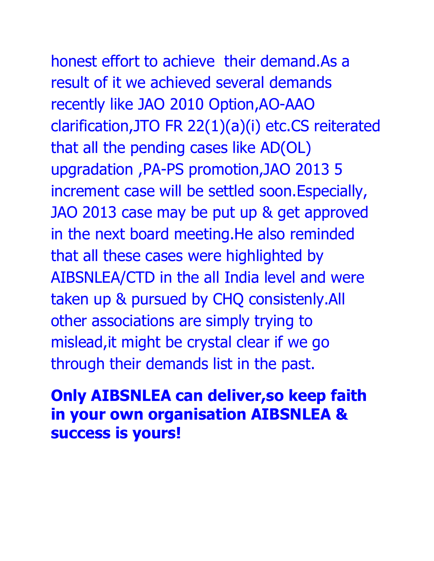# honest effort to achieve their demand.As a

result of it we achieved several demands recently like JAO 2010 Option,AO-AAO clarification,JTO FR 22(1)(a)(i) etc.CS reiterated that all the pending cases like AD(OL) upgradation ,PA-PS promotion,JAO 2013 5 increment case will be settled soon.Especially, JAO 2013 case may be put up & get approved in the next board meeting.He also reminded that all these cases were highlighted by AIBSNLEA/CTD in the all India level and were taken up & pursued by CHQ consistenly.All other associations are simply trying to mislead,it might be crystal clear if we go through their demands list in the past.

#### **Only AIBSNLEA can deliver,so keep faith in your own organisation AIBSNLEA & success is yours!**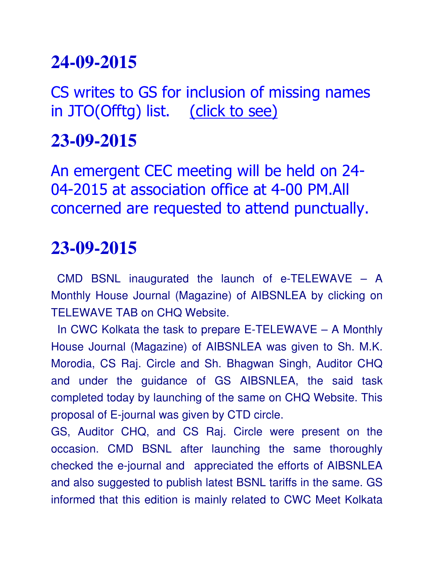CS writes to GS for inclusion of missing names in JTO(Offtg) list. (click to see)

#### **23-09-2015**

An emergent CEC meeting will be held on 24- 04-2015 at association office at 4-00 PM.All concerned are requested to attend punctually.

#### **23-09-2015**

**:**CMD BSNL inaugurated the launch of e-TELEWAVE – A Monthly House Journal (Magazine) of AIBSNLEA by clicking on TELEWAVE TAB on CHQ Website.

 In CWC Kolkata the task to prepare E-TELEWAVE – A Monthly House Journal (Magazine) of AIBSNLEA was given to Sh. M.K. Morodia, CS Raj. Circle and Sh. Bhagwan Singh, Auditor CHQ and under the guidance of GS AIBSNLEA, the said task completed today by launching of the same on CHQ Website. This proposal of E-journal was given by CTD circle.

GS, Auditor CHQ, and CS Raj. Circle were present on the occasion. CMD BSNL after launching the same thoroughly checked the e-journal and appreciated the efforts of AIBSNLEA and also suggested to publish latest BSNL tariffs in the same. GS informed that this edition is mainly related to CWC Meet Kolkata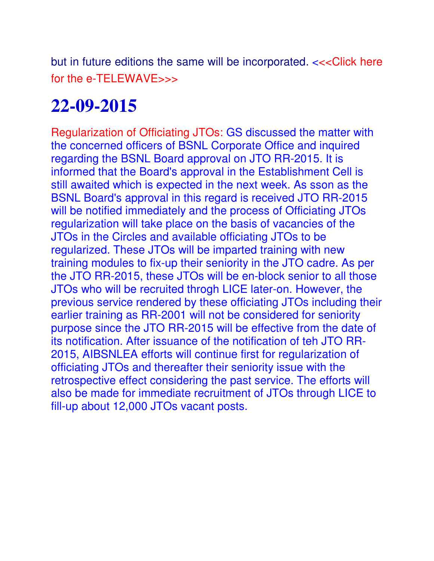but in future editions the same will be incorporated.  $<<$ Click here for the e-TELEWAVE>>>

# **22-09-2015**

Regularization of Officiating JTOs: GS discussed the matter with the concerned officers of BSNL Corporate Office and inquired regarding the BSNL Board approval on JTO RR-2015. It is informed that the Board's approval in the Establishment Cell is still awaited which is expected in the next week. As sson as the BSNL Board's approval in this regard is received JTO RR-2015 will be notified immediately and the process of Officiating JTOs regularization will take place on the basis of vacancies of the JTOs in the Circles and available officiating JTOs to be regularized. These JTOs will be imparted training with new training modules to fix-up their seniority in the JTO cadre. As per the JTO RR-2015, these JTOs will be en-block senior to all those JTOs who will be recruited throgh LICE later-on. However, the previous service rendered by these officiating JTOs including their earlier training as RR-2001 will not be considered for seniority purpose since the JTO RR-2015 will be effective from the date of its notification. After issuance of the notification of teh JTO RR-2015, AIBSNLEA efforts will continue first for regularization of officiating JTOs and thereafter their seniority issue with the retrospective effect considering the past service. The efforts will also be made for immediate recruitment of JTOs through LICE to fill-up about 12,000 JTOs vacant posts.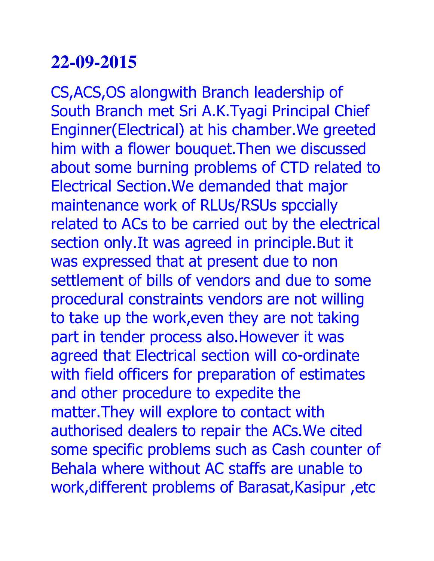CS,ACS,OS alongwith Branch leadership of South Branch met Sri A.K.Tyagi Principal Chief Enginner(Electrical) at his chamber.We greeted him with a flower bouquet.Then we discussed about some burning problems of CTD related to Electrical Section.We demanded that major maintenance work of RLUs/RSUs spccially related to ACs to be carried out by the electrical section only. It was agreed in principle. But it was expressed that at present due to non settlement of bills of vendors and due to some procedural constraints vendors are not willing to take up the work,even they are not taking part in tender process also.However it was agreed that Electrical section will co-ordinate with field officers for preparation of estimates and other procedure to expedite the matter.They will explore to contact with authorised dealers to repair the ACs.We cited some specific problems such as Cash counter of Behala where without AC staffs are unable to work,different problems of Barasat,Kasipur ,etc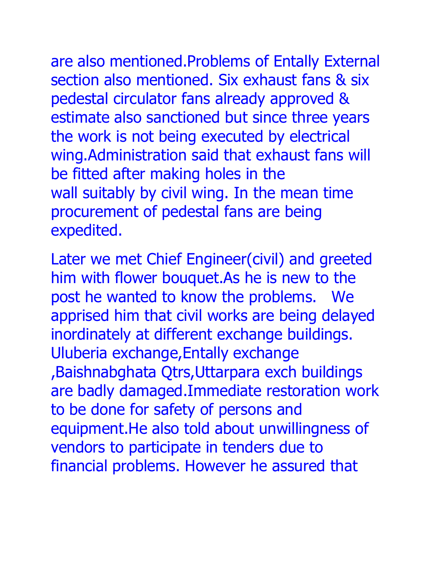are also mentioned.Problems of Entally External section also mentioned. Six exhaust fans & six pedestal circulator fans already approved & estimate also sanctioned but since three years the work is not being executed by electrical wing.Administration said that exhaust fans will be fitted after making holes in the wall suitably by civil wing. In the mean time procurement of pedestal fans are being expedited.

Later we met Chief Engineer(civil) and greeted him with flower bouquet.As he is new to the post he wanted to know the problems. We apprised him that civil works are being delayed inordinately at different exchange buildings. Uluberia exchange,Entally exchange ,Baishnabghata Qtrs,Uttarpara exch buildings are badly damaged.Immediate restoration work to be done for safety of persons and equipment.He also told about unwillingness of vendors to participate in tenders due to financial problems. However he assured that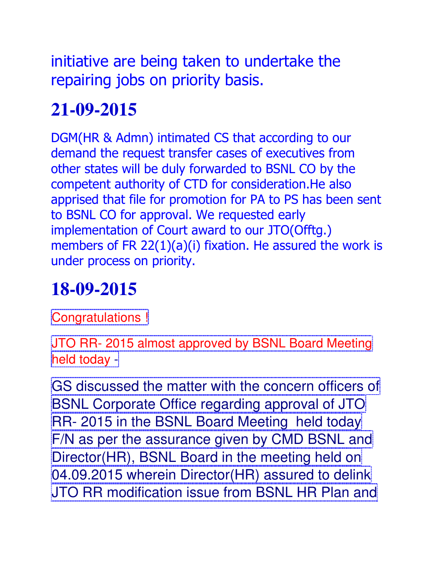initiative are being taken to undertake the repairing jobs on priority basis.

# **21-09-2015**

DGM(HR & Admn) intimated CS that according to our demand the request transfer cases of executives from other states will be duly forwarded to BSNL CO by the competent authority of CTD for consideration.He also apprised that file for promotion for PA to PS has been sent to BSNL CO for approval. We requested early implementation of Court award to our JTO(Offtg.) members of FR 22(1)(a)(i) fixation. He assured the work is under process on priority.

# **18-09-2015**

Congratulations !

JTO RR- 2015 almost approved by BSNL Board Meeting held today -

GS discussed the matter with the concern officers of BSNL Corporate Office regarding approval of JTO RR- 2015 in the BSNL Board Meeting held today F/N as per the assurance given by CMD BSNL and Director(HR), BSNL Board in the meeting held on 04.09.2015 wherein Director(HR) assured to delink JTO RR modification issue from BSNL HR Plan and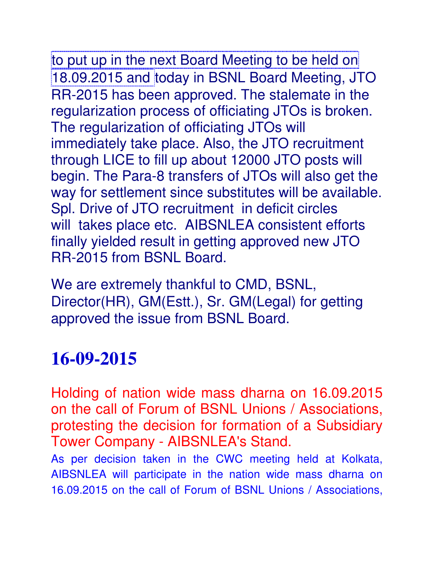to put up in the next Board Meeting to be held on 18.09.2015 and today in BSNL Board Meeting, JTO RR-2015 has been approved. The stalemate in the regularization process of officiating JTOs is broken. The regularization of officiating JTOs will immediately take place. Also, the JTO recruitment through LICE to fill up about 12000 JTO posts will begin. The Para-8 transfers of JTOs will also get the way for settlement since substitutes will be available. Spl. Drive of JTO recruitment in deficit circles will takes place etc. AIBSNLEA consistent efforts finally yielded result in getting approved new JTO RR-2015 from BSNL Board.

We are extremely thankful to CMD, BSNL, Director(HR), GM(Estt.), Sr. GM(Legal) for getting approved the issue from BSNL Board.

## **16-09-2015**

Holding of nation wide mass dharna on 16.09.2015 on the call of Forum of BSNL Unions / Associations, protesting the decision for formation of a Subsidiary Tower Company - AIBSNLEA's Stand.

As per decision taken in the CWC meeting held at Kolkata, AIBSNLEA will participate in the nation wide mass dharna on 16.09.2015 on the call of Forum of BSNL Unions / Associations,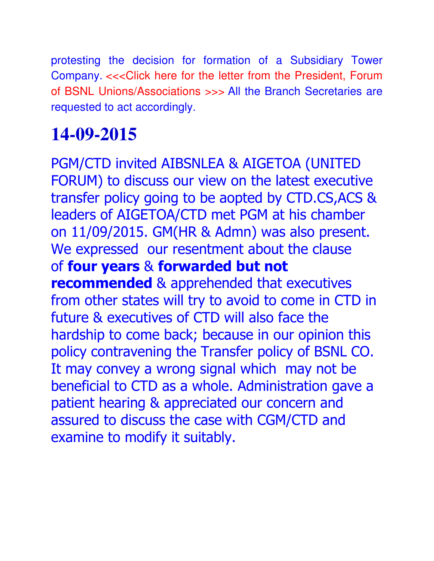protesting the decision for formation of a Subsidiary Tower Company. <<< Click here for the letter from the President, Forum of BSNL Unions/Associations >>> All the Branch Secretaries are requested to act accordingly.

## **14-09-2015**

PGM/CTD invited AIBSNLEA & AIGETOA (UNITED FORUM) to discuss our view on the latest executive transfer policy going to be aopted by CTD.CS,ACS & leaders of AIGETOA/CTD met PGM at his chamber on 11/09/2015. GM(HR & Admn) was also present. We expressed our resentment about the clause of **four years** & **forwarded but not recommended** & apprehended that executives from other states will try to avoid to come in CTD in future & executives of CTD will also face the hardship to come back; because in our opinion this policy contravening the Transfer policy of BSNL CO. It may convey a wrong signal which may not be beneficial to CTD as a whole. Administration gave a patient hearing & appreciated our concern and assured to discuss the case with CGM/CTD and examine to modify it suitably.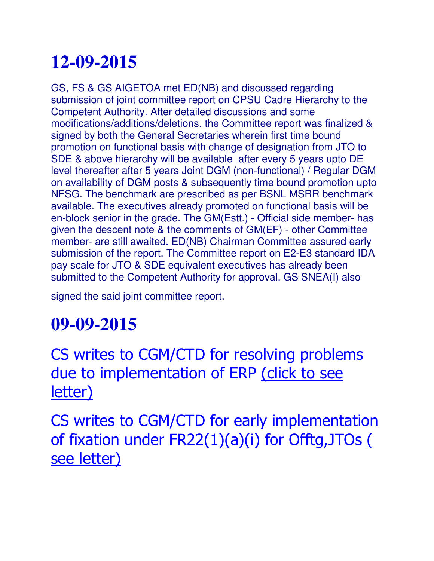GS, FS & GS AIGETOA met ED(NB) and discussed regarding submission of joint committee report on CPSU Cadre Hierarchy to the Competent Authority. After detailed discussions and some modifications/additions/deletions, the Committee report was finalized & signed by both the General Secretaries wherein first time bound promotion on functional basis with change of designation from JTO to SDE & above hierarchy will be available after every 5 years upto DE level thereafter after 5 years Joint DGM (non-functional) / Regular DGM on availability of DGM posts & subsequently time bound promotion upto NFSG. The benchmark are prescribed as per BSNL MSRR benchmark available. The executives already promoted on functional basis will be en-block senior in the grade. The GM(Estt.) - Official side member- has given the descent note & the comments of GM(EF) - other Committee member- are still awaited. ED(NB) Chairman Committee assured early submission of the report. The Committee report on E2-E3 standard IDA pay scale for JTO & SDE equivalent executives has already been submitted to the Competent Authority for approval. GS SNEA(I) also

signed the said joint committee report.

# **09-09-2015**

CS writes to CGM/CTD for resolving problems due to implementation of ERP (click to see letter)

CS writes to CGM/CTD for early implementation of fixation under FR22(1)(a)(i) for Offtg,JTOs ( see letter)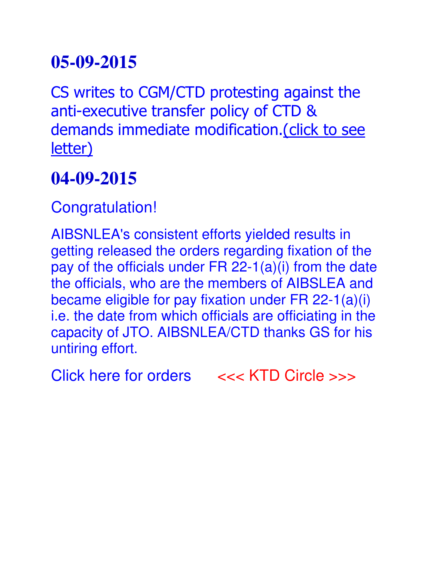CS writes to CGM/CTD protesting against the anti-executive transfer policy of CTD & demands immediate modification. (click to see letter)

## **04-09-2015**

Congratulation!

AIBSNLEA's consistent efforts yielded results in getting released the orders regarding fixation of the pay of the officials under FR 22-1(a)(i) from the date the officials, who are the members of AIBSLEA and became eligible for pay fixation under FR 22-1(a)(i) i.e. the date from which officials are officiating in the capacity of JTO. AIBSNLEA/CTD thanks GS for his untiring effort.

Click here for orders <<< KTD Circle >>>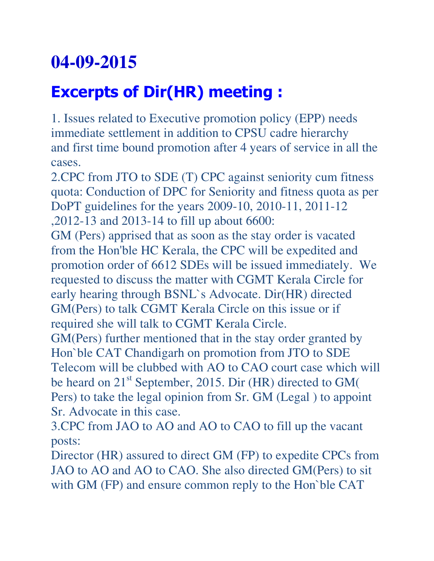## **Excerpts of Dir(HR) meeting :**

1. Issues related to Executive promotion policy (EPP) needs immediate settlement in addition to CPSU cadre hierarchy and first time bound promotion after 4 years of service in all the cases.

2.CPC from JTO to SDE (T) CPC against seniority cum fitness quota: Conduction of DPC for Seniority and fitness quota as per DoPT guidelines for the years 2009-10, 2010-11, 2011-12 ,2012-13 and 2013-14 to fill up about 6600:

GM (Pers) apprised that as soon as the stay order is vacated from the Hon'ble HC Kerala, the CPC will be expedited and promotion order of 6612 SDEs will be issued immediately. We requested to discuss the matter with CGMT Kerala Circle for early hearing through BSNL`s Advocate. Dir(HR) directed GM(Pers) to talk CGMT Kerala Circle on this issue or if required she will talk to CGMT Kerala Circle.

GM(Pers) further mentioned that in the stay order granted by Hon`ble CAT Chandigarh on promotion from JTO to SDE Telecom will be clubbed with AO to CAO court case which will be heard on 21<sup>st</sup> September, 2015. Dir (HR) directed to GM( Pers) to take the legal opinion from Sr. GM (Legal ) to appoint Sr. Advocate in this case.

3.CPC from JAO to AO and AO to CAO to fill up the vacant posts:

Director (HR) assured to direct GM (FP) to expedite CPCs from JAO to AO and AO to CAO. She also directed GM(Pers) to sit with GM (FP) and ensure common reply to the Hon'ble CAT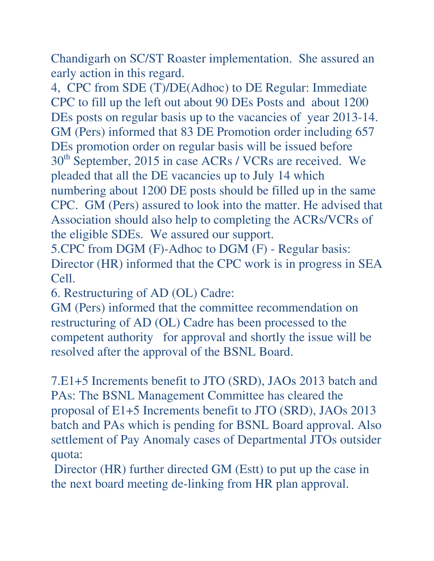Chandigarh on SC/ST Roaster implementation. She assured an early action in this regard.

4, CPC from SDE (T)/DE(Adhoc) to DE Regular: Immediate CPC to fill up the left out about 90 DEs Posts and about 1200 DEs posts on regular basis up to the vacancies of year 2013-14. GM (Pers) informed that 83 DE Promotion order including 657 DEs promotion order on regular basis will be issued before 30<sup>th</sup> September, 2015 in case ACRs / VCRs are received. We pleaded that all the DE vacancies up to July 14 which numbering about 1200 DE posts should be filled up in the same CPC. GM (Pers) assured to look into the matter. He advised that Association should also help to completing the ACRs/VCRs of the eligible SDEs. We assured our support.

5.CPC from DGM (F)-Adhoc to DGM (F) - Regular basis: Director (HR) informed that the CPC work is in progress in SEA Cell.

6. Restructuring of AD (OL) Cadre:

GM (Pers) informed that the committee recommendation on restructuring of AD (OL) Cadre has been processed to the competent authority for approval and shortly the issue will be resolved after the approval of the BSNL Board.

7.E1+5 Increments benefit to JTO (SRD), JAOs 2013 batch and PAs: The BSNL Management Committee has cleared the proposal of E1+5 Increments benefit to JTO (SRD), JAOs 2013 batch and PAs which is pending for BSNL Board approval. Also settlement of Pay Anomaly cases of Departmental JTOs outsider quota:

 Director (HR) further directed GM (Estt) to put up the case in the next board meeting de-linking from HR plan approval.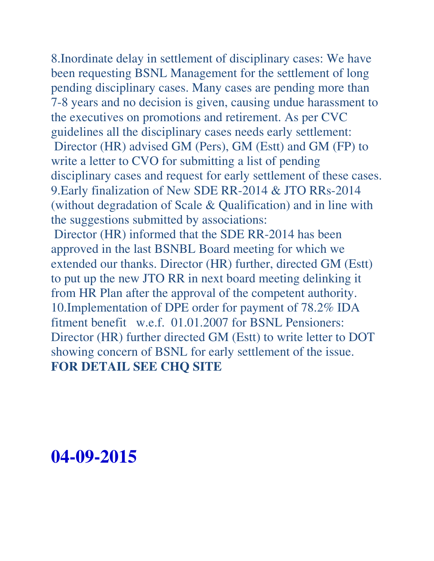8.Inordinate delay in settlement of disciplinary cases: We have been requesting BSNL Management for the settlement of long pending disciplinary cases. Many cases are pending more than 7-8 years and no decision is given, causing undue harassment to the executives on promotions and retirement. As per CVC guidelines all the disciplinary cases needs early settlement: Director (HR) advised GM (Pers), GM (Estt) and GM (FP) to write a letter to CVO for submitting a list of pending disciplinary cases and request for early settlement of these cases. 9.Early finalization of New SDE RR-2014 & JTO RRs-2014 (without degradation of Scale & Qualification) and in line with the suggestions submitted by associations: Director (HR) informed that the SDE RR-2014 has been

approved in the last BSNBL Board meeting for which we extended our thanks. Director (HR) further, directed GM (Estt) to put up the new JTO RR in next board meeting delinking it from HR Plan after the approval of the competent authority. 10.Implementation of DPE order for payment of 78.2% IDA fitment benefit w.e.f. 01.01.2007 for BSNL Pensioners: Director (HR) further directed GM (Estt) to write letter to DOT showing concern of BSNL for early settlement of the issue. **FOR DETAIL SEE CHQ SITE** 

#### **04-09-2015**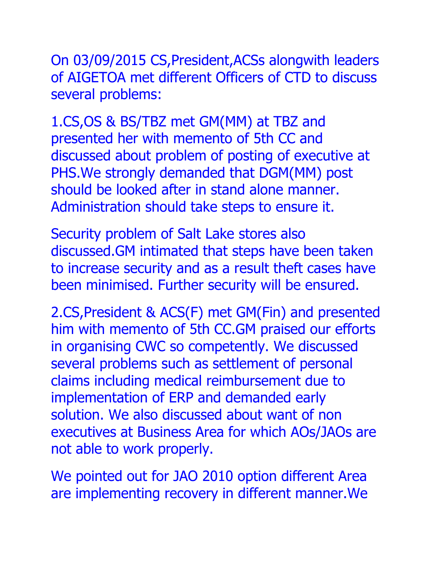On 03/09/2015 CS,President,ACSs alongwith leaders of AIGETOA met different Officers of CTD to discuss several problems:

1.CS,OS & BS/TBZ met GM(MM) at TBZ and presented her with memento of 5th CC and discussed about problem of posting of executive at PHS.We strongly demanded that DGM(MM) post should be looked after in stand alone manner. Administration should take steps to ensure it.

Security problem of Salt Lake stores also discussed.GM intimated that steps have been taken to increase security and as a result theft cases have been minimised. Further security will be ensured.

2.CS,President & ACS(F) met GM(Fin) and presented him with memento of 5th CC.GM praised our efforts in organising CWC so competently. We discussed several problems such as settlement of personal claims including medical reimbursement due to implementation of ERP and demanded early solution. We also discussed about want of non executives at Business Area for which AOs/JAOs are not able to work properly.

We pointed out for JAO 2010 option different Area are implementing recovery in different manner.We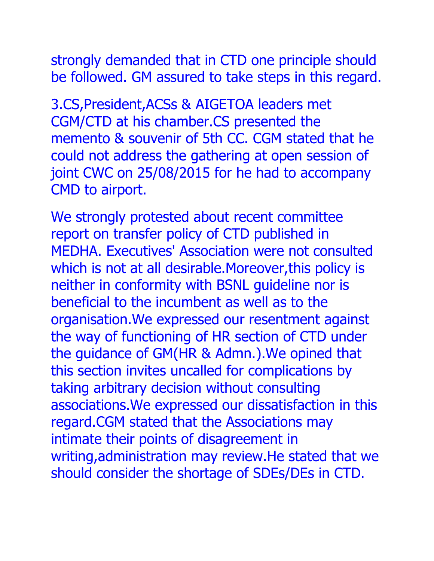strongly demanded that in CTD one principle should be followed. GM assured to take steps in this regard.

3.CS,President,ACSs & AIGETOA leaders met CGM/CTD at his chamber.CS presented the memento & souvenir of 5th CC. CGM stated that he could not address the gathering at open session of joint CWC on 25/08/2015 for he had to accompany CMD to airport.

We strongly protested about recent committee report on transfer policy of CTD published in MEDHA. Executives' Association were not consulted which is not at all desirable. Moreover, this policy is neither in conformity with BSNL guideline nor is beneficial to the incumbent as well as to the organisation.We expressed our resentment against the way of functioning of HR section of CTD under the guidance of GM(HR & Admn.).We opined that this section invites uncalled for complications by taking arbitrary decision without consulting associations.We expressed our dissatisfaction in this regard.CGM stated that the Associations may intimate their points of disagreement in writing,administration may review.He stated that we should consider the shortage of SDEs/DEs in CTD.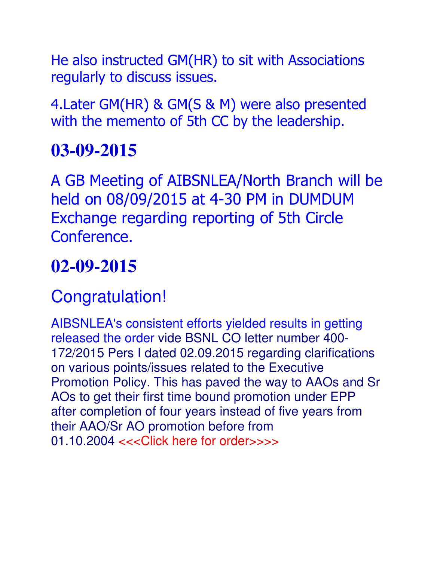He also instructed GM(HR) to sit with Associations regularly to discuss issues.

4.Later GM(HR) & GM(S & M) were also presented with the memento of 5th CC by the leadership.

## **03-09-2015**

A GB Meeting of AIBSNLEA/North Branch will be held on 08/09/2015 at 4-30 PM in DUMDUM Exchange regarding reporting of 5th Circle Conference.

## **02-09-2015**

## Congratulation!

AIBSNLEA's consistent efforts yielded results in getting released the order vide BSNL CO letter number 400- 172/2015 Pers I dated 02.09.2015 regarding clarifications on various points/issues related to the Executive Promotion Policy. This has paved the way to AAOs and Sr AOs to get their first time bound promotion under EPP after completion of four years instead of five years from their AAO/Sr AO promotion before from 01.10.2004 <<<Click here for order>>>>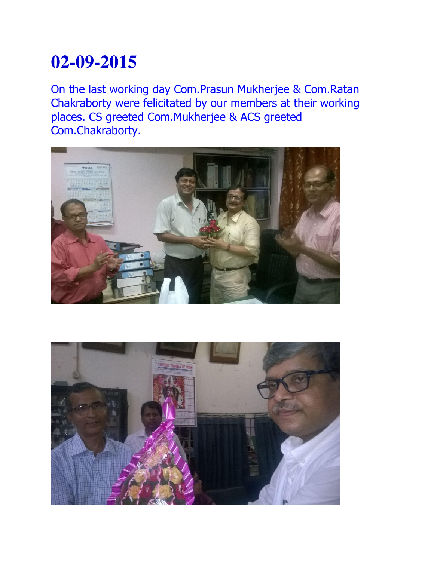On the last working day Com.Prasun Mukherjee & Com.Ratan Chakraborty were felicitated by our members at their working places. CS greeted Com.Mukherjee & ACS greeted Com.Chakraborty.